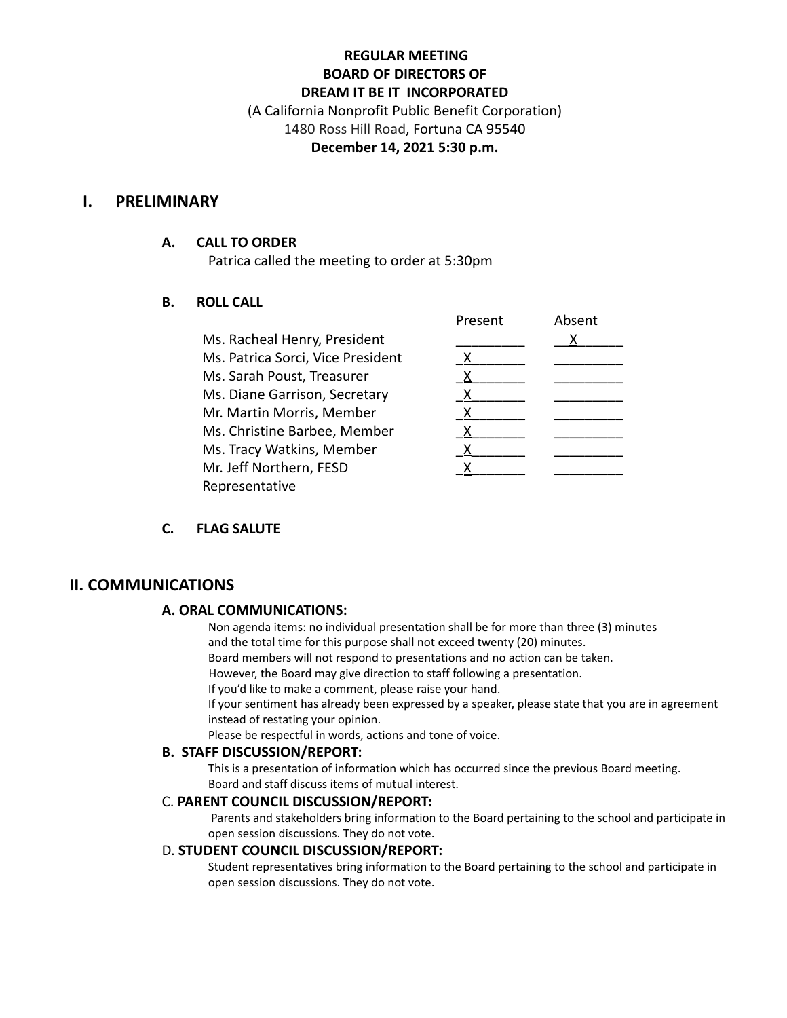# **REGULAR MEETING BOARD OF DIRECTORS OF DREAM IT BE IT INCORPORATED**

(A California Nonprofit Public Benefit Corporation) 1480 Ross Hill Road, Fortuna CA 95540 **December 14, 2021 5:30 p.m.**

## **I. PRELIMINARY**

#### **A. CALL TO ORDER**

Patrica called the meeting to order at 5:30pm

### **B. ROLL CALL**

|                                   | Present | Absent |
|-----------------------------------|---------|--------|
| Ms. Racheal Henry, President      |         |        |
| Ms. Patrica Sorci, Vice President |         |        |
| Ms. Sarah Poust, Treasurer        |         |        |
| Ms. Diane Garrison, Secretary     |         |        |
| Mr. Martin Morris, Member         |         |        |
| Ms. Christine Barbee, Member      |         |        |
| Ms. Tracy Watkins, Member         |         |        |
| Mr. Jeff Northern, FESD           |         |        |
| Representative                    |         |        |

### **C. FLAG SALUTE**

# **II. COMMUNICATIONS**

### **A. ORAL COMMUNICATIONS:**

Non agenda items: no individual presentation shall be for more than three (3) minutes and the total time for this purpose shall not exceed twenty (20) minutes.

Board members will not respond to presentations and no action can be taken.

However, the Board may give direction to staff following a presentation.

If you'd like to make a comment, please raise your hand.

If your sentiment has already been expressed by a speaker, please state that you are in agreement instead of restating your opinion.

Please be respectful in words, actions and tone of voice.

#### **B. STAFF DISCUSSION/REPORT:**

This is a presentation of information which has occurred since the previous Board meeting. Board and staff discuss items of mutual interest.

#### C. **PARENT COUNCIL DISCUSSION/REPORT:**

Parents and stakeholders bring information to the Board pertaining to the school and participate in open session discussions. They do not vote.

#### D. **STUDENT COUNCIL DISCUSSION/REPORT:**

Student representatives bring information to the Board pertaining to the school and participate in open session discussions. They do not vote.